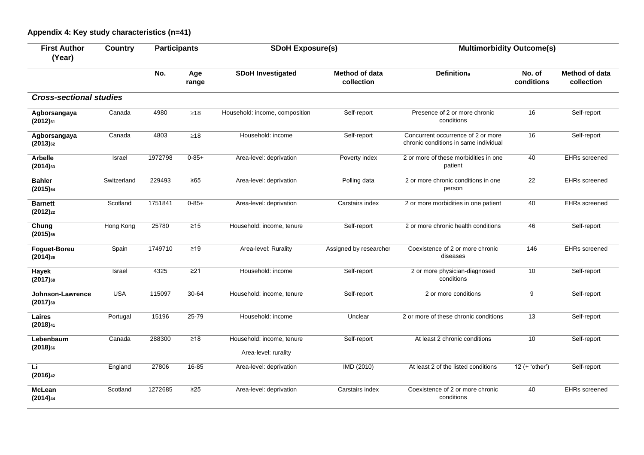## **Appendix 4: Key study characteristics (n=41)**

| <b>First Author</b><br>(Year)        | Country     | <b>Participants</b> |              | <b>SDoH Exposure(s)</b>                           |                              | <b>Multimorbidity Outcome(s)</b>                                            |                      |                                     |
|--------------------------------------|-------------|---------------------|--------------|---------------------------------------------------|------------------------------|-----------------------------------------------------------------------------|----------------------|-------------------------------------|
|                                      |             | No.                 | Age<br>range | <b>SDoH Investigated</b>                          | Method of data<br>collection | <b>Definitiona</b>                                                          | No. of<br>conditions | <b>Method of data</b><br>collection |
| <b>Cross-sectional studies</b>       |             |                     |              |                                                   |                              |                                                                             |                      |                                     |
| Agborsangaya<br>$(2012)$ 61          | Canada      | 4980                | $\geq18$     | Household: income, composition                    | Self-report                  | Presence of 2 or more chronic<br>conditions                                 | 16                   | Self-report                         |
| Agborsangaya<br>$(2013)_{62}$        | Canada      | 4803                | $\geq 18$    | Household: income                                 | Self-report                  | Concurrent occurrence of 2 or more<br>chronic conditions in same individual | 16                   | Self-report                         |
| <b>Arbelle</b><br>$(2014)$ 63        | Israel      | 1972798             | $0 - 85 +$   | Area-level: deprivation                           | Poverty index                | 2 or more of these morbidities in one<br>patient                            | 40                   | <b>EHRs</b> screened                |
| <b>Bahler</b><br>$(2015)_{64}$       | Switzerland | 229493              | $\geq 65$    | Area-level: deprivation                           | Polling data                 | 2 or more chronic conditions in one<br>person                               | 22                   | <b>EHRs</b> screened                |
| <b>Barnett</b><br>$(2012)_{22}$      | Scotland    | 1751841             | $0 - 85 +$   | Area-level: deprivation                           | Carstairs index              | 2 or more morbidities in one patient                                        | 40                   | <b>EHRs</b> screened                |
| Chung<br>$(2015)$ <sub>65</sub>      | Hong Kong   | 25780               | $\geq 15$    | Household: income, tenure                         | Self-report                  | 2 or more chronic health conditions                                         | 46                   | Self-report                         |
| <b>Foguet-Boreu</b><br>$(2014)_{36}$ | Spain       | 1749710             | $\geq 19$    | Area-level: Rurality                              | Assigned by researcher       | Coexistence of 2 or more chronic<br>diseases                                | 146                  | <b>EHRs</b> screened                |
| Hayek<br>$(2017)$ 68                 | Israel      | 4325                | $\geq$ 21    | Household: income                                 | Self-report                  | 2 or more physician-diagnosed<br>conditions                                 | 10                   | Self-report                         |
| Johnson-Lawrence<br>$(2017)$ 69      | <b>USA</b>  | 115097              | 30-64        | Household: income, tenure                         | Self-report                  | 2 or more conditions                                                        | 9                    | Self-report                         |
| Laires<br>(2018) <sub>41</sub>       | Portugal    | 15196               | $25 - 79$    | Household: income                                 | Unclear                      | 2 or more of these chronic conditions                                       | 13                   | Self-report                         |
| Lebenbaum<br>$(2018)$ <sub>66</sub>  | Canada      | 288300              | $\geq 18$    | Household: income, tenure<br>Area-level: rurality | Self-report                  | At least 2 chronic conditions                                               | 10                   | Self-report                         |
| Li<br>(2016) <sub>42</sub>           | England     | 27806               | $16 - 85$    | Area-level: deprivation                           | <b>IMD (2010)</b>            | At least 2 of the listed conditions                                         | $12 (+ 'other')$     | Self-report                         |
| <b>McLean</b><br>$(2014)_{44}$       | Scotland    | 1272685             | $\geq$ 25    | Area-level: deprivation                           | Carstairs index              | Coexistence of 2 or more chronic<br>conditions                              | 40                   | <b>EHRs</b> screened                |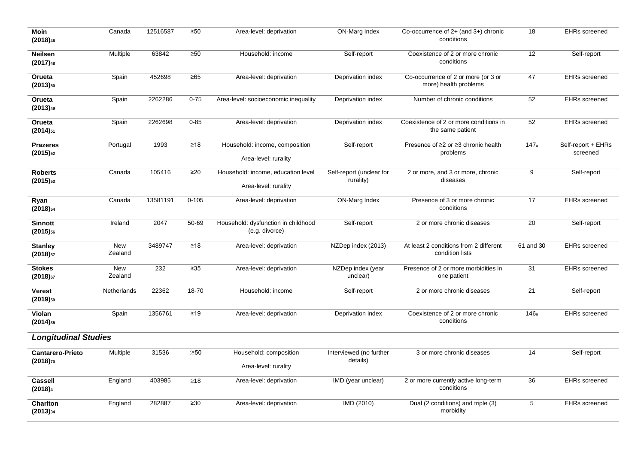| <b>Moin</b><br>(2018) <sub>46</sub>      | Canada                | 12516587 | $\geq 50$ | Area-level: deprivation                                    | ON-Marg Index                         | Co-occurrence of $2+$ (and $3+$ ) chronic<br>conditions      | 18              | <b>EHRs screened</b>           |  |  |
|------------------------------------------|-----------------------|----------|-----------|------------------------------------------------------------|---------------------------------------|--------------------------------------------------------------|-----------------|--------------------------------|--|--|
| <b>Neilsen</b><br>(2017) <sub>48</sub>   | Multiple              | 63842    | $\geq 50$ | Household: income                                          | Self-report                           | Coexistence of 2 or more chronic<br>conditions               | 12              | Self-report                    |  |  |
| Orueta<br>$(2013)_{50}$                  | Spain                 | 452698   | $\geq 65$ | Area-level: deprivation                                    | Deprivation index                     | Co-occurrence of 2 or more (or 3 or<br>more) health problems | 47              | <b>EHRs screened</b>           |  |  |
| Orueta<br>(2013) <sub>49</sub>           | Spain                 | 2262286  | $0 - 75$  | Area-level: socioeconomic inequality                       | Deprivation index                     | Number of chronic conditions                                 | 52              | <b>EHRs screened</b>           |  |  |
| Orueta<br>$(2014)_{51}$                  | Spain                 | 2262698  | $0 - 85$  | Area-level: deprivation                                    | Deprivation index                     | Coexistence of 2 or more conditions in<br>the same patient   | 52              | <b>EHRs screened</b>           |  |  |
| <b>Prazeres</b><br>$(2015)_{52}$         | Portugal              | 1993     | $\geq 18$ | Household: income, composition<br>Area-level: rurality     | Self-report                           | Presence of ≥2 or ≥3 chronic health<br>problems              | 147a            | Self-report + EHRs<br>screened |  |  |
| <b>Roberts</b><br>$(2015)_{53}$          | Canada                | 105416   | $\geq$ 20 | Household: income, education level<br>Area-level: rurality | Self-report (unclear for<br>rurality) | 2 or more, and 3 or more, chronic<br>diseases                | 9               | Self-report                    |  |  |
| Ryan<br>$(2018)_{54}$                    | Canada                | 13581191 | $0 - 105$ | Area-level: deprivation                                    | ON-Marg Index                         | Presence of 3 or more chronic<br>conditions                  | 17              | <b>EHRs screened</b>           |  |  |
| <b>Sinnott</b><br>$(2015)_{56}$          | Ireland               | 2047     | 50-69     | Household: dysfunction in childhood<br>(e.g. divorce)      | Self-report                           | 2 or more chronic diseases                                   | 20              | Self-report                    |  |  |
| <b>Stanley</b><br>$(2018)_{57}$          | New<br>Zealand        | 3489747  | $\geq 18$ | Area-level: deprivation                                    | NZDep index (2013)                    | At least 2 conditions from 2 different<br>condition lists    | 61 and 30       | <b>EHRs screened</b>           |  |  |
| <b>Stokes</b><br>$(2018)$ 67             | <b>New</b><br>Zealand | 232      | $\geq 35$ | Area-level: deprivation                                    | NZDep index (year<br>unclear)         | Presence of 2 or more morbidities in<br>one patient          | $\overline{31}$ | <b>EHRs screened</b>           |  |  |
| <b>Verest</b><br>$(2019)_{59}$           | Netherlands           | 22362    | 18-70     | Household: income                                          | Self-report                           | 2 or more chronic diseases                                   | 21              | Self-report                    |  |  |
| Violan<br>$(2014)_{35}$                  | Spain                 | 1356761  | $\geq 19$ | Area-level: deprivation                                    | Deprivation index                     | Coexistence of 2 or more chronic<br>conditions               | 146a            | <b>EHRs screened</b>           |  |  |
| <b>Longitudinal Studies</b>              |                       |          |           |                                                            |                                       |                                                              |                 |                                |  |  |
| <b>Cantarero-Prieto</b><br>$(2018)_{70}$ | Multiple              | 31536    | :≥50      | Household: composition<br>Area-level: rurality             | Interviewed (no further<br>details)   | 3 or more chronic diseases                                   | 14              | Self-report                    |  |  |
| <b>Cassell</b><br>(2018) <sub>4</sub>    | England               | 403985   | $\geq$ 18 | Area-level: deprivation                                    | IMD (year unclear)                    | 2 or more currently active long-term<br>conditions           | 36              | <b>EHRs</b> screened           |  |  |
| <b>Charlton</b><br>$(2013)_{34}$         | England               | 282887   | $\geq 30$ | Area-level: deprivation                                    | IMD (2010)                            | Dual (2 conditions) and triple (3)<br>morbidity              | 5               | <b>EHRs screened</b>           |  |  |